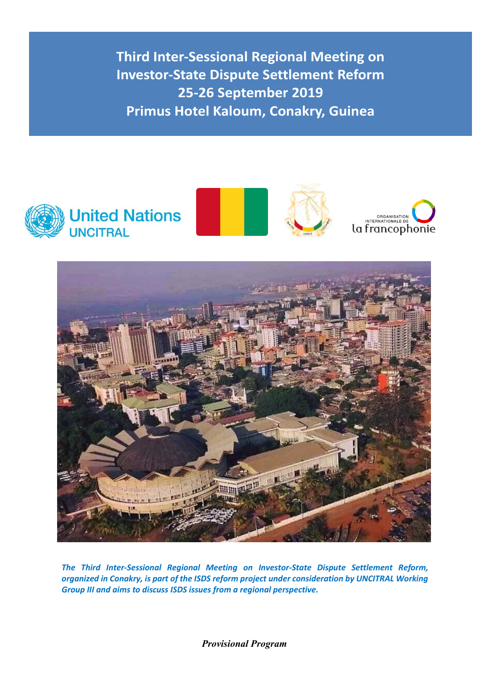



*The Third Inter-Sessional Regional Meeting on Investor-State Dispute Settlement Reform, organized in Conakry, is part of the ISDS reform project under consideration by UNCITRAL Working Group III and aims to discuss ISDS issues from a regional perspective.*

*Provisional Program*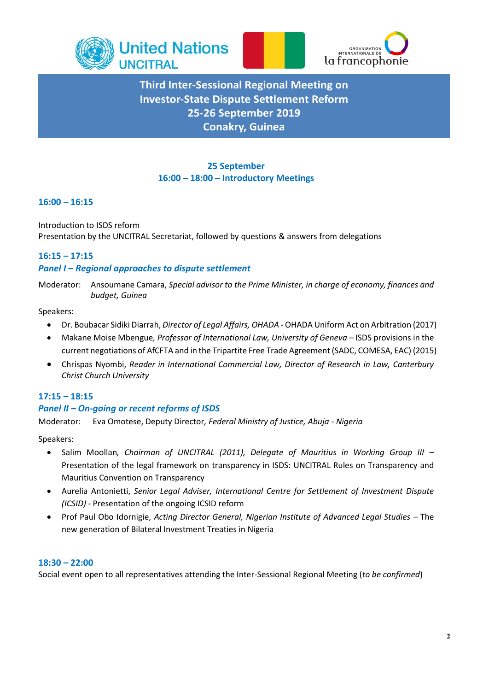



## **25 September 16:00 – 18:00 – Introductory Meetings**

## **16:00 – 16:15**

Introduction to ISDS reform Presentation by the UNCITRAL Secretariat, followed by questions & answers from delegations

## **16:15 – 17:15**

## *Panel I – Regional approaches to dispute settlement*

Moderator: Ansoumane Camara, *Special advisor to the Prime Minister, in charge of economy, finances and budget, Guinea*

#### Speakers:

- Dr. Boubacar Sidiki Diarrah, *Director of Legal Affairs, OHADA* OHADA Uniform Act on Arbitration (2017)
- Makane Moise Mbengue*, Professor of International Law, University of Geneva* ISDS provisions in the current negotiations of AfCFTA and in the Tripartite Free Trade Agreement (SADC, COMESA, EAC) (2015)
- Chrispas Nyombi, *Reader in International Commercial Law, Director of Research in Law, Canterbury Christ Church University*

### **17:15 – 18:15**

### *Panel II – On-going or recent reforms of ISDS*

Moderator: Eva Omotese, Deputy Director*, Federal Ministry of Justice, Abuja - Nigeria*

Speakers:

- Salim Moollan*, Chairman of UNCITRAL (2011), Delegate of Mauritius in Working Group III* Presentation of the legal framework on transparency in ISDS: UNCITRAL Rules on Transparency and Mauritius Convention on Transparency
- Aurelia Antonietti, *Senior Legal Adviser, International Centre for Settlement of Investment Dispute (ICSID) -* Presentation of the ongoing ICSID reform
- Prof Paul Obo Idornigie, *Acting Director General, Nigerian Institute of Advanced Legal Studies* The new generation of Bilateral Investment Treaties in Nigeria

#### **18:30 – 22:00**

Social event open to all representatives attending the Inter-Sessional Regional Meeting (*to be confirmed*)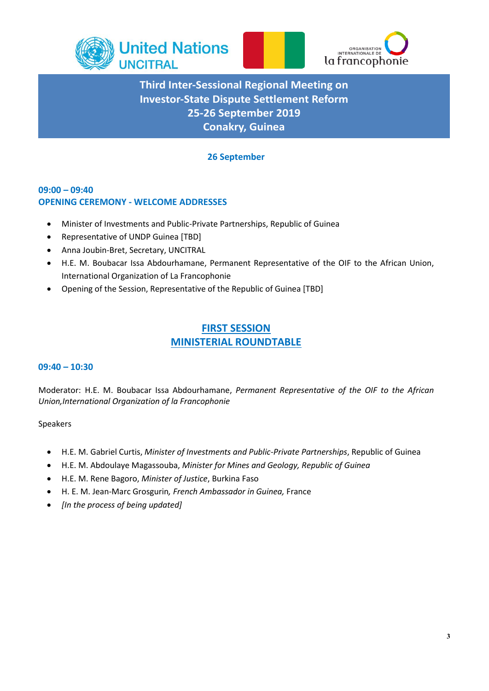



## **26 September**

## **09:00 – 09:40 OPENING CEREMONY - WELCOME ADDRESSES**

- Minister of Investments and Public-Private Partnerships, Republic of Guinea
- Representative of UNDP Guinea [TBD]
- Anna Joubin-Bret, Secretary, UNCITRAL
- H.E. M. Boubacar Issa Abdourhamane, Permanent Representative of the OIF to the African Union, International Organization of La Francophonie
- Opening of the Session, Representative of the Republic of Guinea [TBD]

## **FIRST SESSION MINISTERIAL ROUNDTABLE**

### **09:40 – 10:30**

Moderator: H.E. M. Boubacar Issa Abdourhamane, *Permanent Representative of the OIF to the African Union,International Organization of la Francophonie*

### Speakers

- H.E. M. Gabriel Curtis, *Minister of Investments and Public-Private Partnerships*, Republic of Guinea
- H.E. M. Abdoulaye Magassouba, *Minister for Mines and Geology, Republic of Guinea*
- H.E. M. Rene Bagoro, *Minister of Justice*, Burkina Faso
- H. E. M. Jean-Marc Grosgurin*, French Ambassador in Guinea,* France
- *[In the process of being updated]*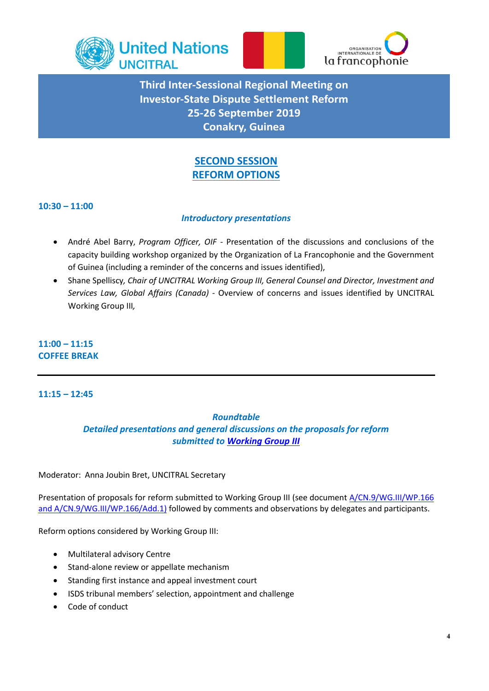



## **SECOND SESSION REFORM OPTIONS**

## **10:30 – 11:00**

## *Introductory presentations*

- André Abel Barry, *Program Officer, OIF -* Presentation of the discussions and conclusions of the capacity building workshop organized by the Organization of La Francophonie and the Government of Guinea (including a reminder of the concerns and issues identified),
- Shane Spelliscy*, Chair of UNCITRAL Working Group III, General Counsel and Director, Investment and Services Law, Global Affairs (Canada) -* Overview of concerns and issues identified by UNCITRAL Working Group III*,*

## **11:00 – 11:15 COFFEE BREAK**

## **11:15 – 12:45**

### *Roundtable*

*Detailed presentations and general discussions on the proposals for reform submitted to [Working Group III](https://uncitral.un.org/en/working_groups/3/investor-state)*

Moderator: Anna Joubin Bret, UNCITRAL Secretary

Presentation of proposals for reform submitted to Working Group III (see documen[t A/CN.9/WG.III/WP.166](https://uncitral.un.org/en/working_groups/3/investor-state) and [A/CN.9/WG.III/WP.166/](https://uncitral.un.org/en/working_groups/3/investor-state)Add.1) followed by comments and observations by delegates and participants.

Reform options considered by Working Group III:

- Multilateral advisory Centre
- Stand-alone review or appellate mechanism
- Standing first instance and appeal investment court
- ISDS tribunal members' selection, appointment and challenge
- Code of conduct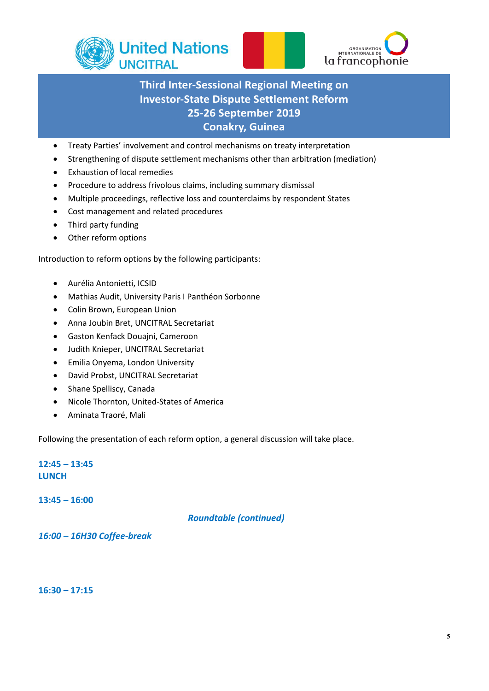



- Treaty Parties' involvement and control mechanisms on treaty interpretation
- Strengthening of dispute settlement mechanisms other than arbitration (mediation)
- Exhaustion of local remedies
- Procedure to address frivolous claims, including summary dismissal
- Multiple proceedings, reflective loss and counterclaims by respondent States
- Cost management and related procedures
- Third party funding
- Other reform options

Introduction to reform options by the following participants:

- Aurélia Antonietti, ICSID
- Mathias Audit, University Paris I Panthéon Sorbonne
- Colin Brown, European Union
- Anna Joubin Bret, UNCITRAL Secretariat
- Gaston Kenfack Douajni, Cameroon
- Judith Knieper, UNCITRAL Secretariat
- Emilia Onyema, London University
- David Probst, UNCITRAL Secretariat
- Shane Spelliscy, Canada
- Nicole Thornton, United-States of America
- Aminata Traoré, Mali

Following the presentation of each reform option, a general discussion will take place.

**12:45 – 13:45 LUNCH**

**13:45 – 16:00**

*Roundtable (continued)*

*16:00 – 16H30 Coffee-break* 

**16:30 – 17:15**